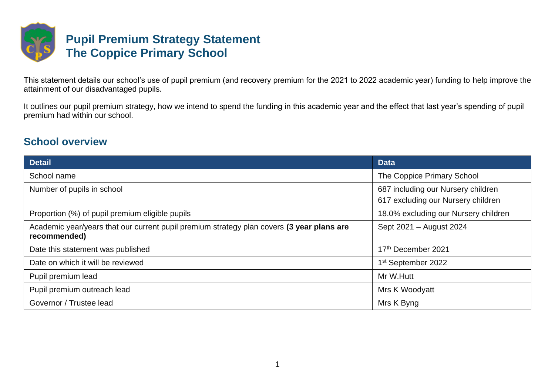

This statement details our school's use of pupil premium (and recovery premium for the 2021 to 2022 academic year) funding to help improve the attainment of our disadvantaged pupils.

It outlines our pupil premium strategy, how we intend to spend the funding in this academic year and the effect that last year's spending of pupil premium had within our school.

### **School overview**

| <b>Detail</b>                                                                                             | <b>Data</b>                                                              |
|-----------------------------------------------------------------------------------------------------------|--------------------------------------------------------------------------|
| School name                                                                                               | The Coppice Primary School                                               |
| Number of pupils in school                                                                                | 687 including our Nursery children<br>617 excluding our Nursery children |
| Proportion (%) of pupil premium eligible pupils                                                           | 18.0% excluding our Nursery children                                     |
| Academic year/years that our current pupil premium strategy plan covers (3 year plans are<br>recommended) | Sept 2021 - August 2024                                                  |
| Date this statement was published                                                                         | 17th December 2021                                                       |
| Date on which it will be reviewed                                                                         | 1 <sup>st</sup> September 2022                                           |
| Pupil premium lead                                                                                        | Mr W.Hutt                                                                |
| Pupil premium outreach lead                                                                               | Mrs K Woodyatt                                                           |
| Governor / Trustee lead                                                                                   | Mrs K Byng                                                               |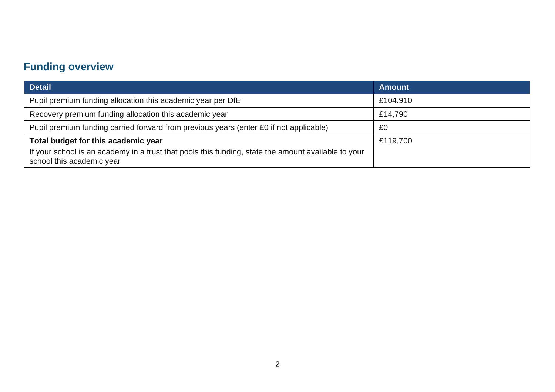# **Funding overview**

| <b>Detail</b>                                                                                                                                                           | <b>Amount</b> |
|-------------------------------------------------------------------------------------------------------------------------------------------------------------------------|---------------|
| Pupil premium funding allocation this academic year per DfE                                                                                                             | £104.910      |
| Recovery premium funding allocation this academic year                                                                                                                  | £14,790       |
| Pupil premium funding carried forward from previous years (enter £0 if not applicable)                                                                                  | £0            |
| Total budget for this academic year<br>If your school is an academy in a trust that pools this funding, state the amount available to your<br>school this academic year | £119,700      |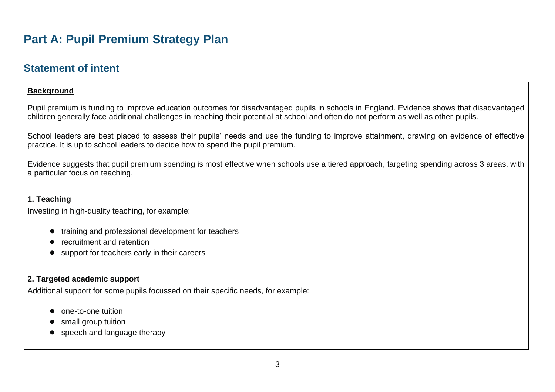# **Part A: Pupil Premium Strategy Plan**

### **Statement of intent**

#### **Background**

Pupil premium is funding to improve education outcomes for disadvantaged pupils in schools in England. Evidence shows that disadvantaged children generally face additional challenges in reaching their potential at school and often do not perform as well as other pupils.

School leaders are best placed to assess their pupils' needs and use the funding to improve attainment, drawing on evidence of effective practice. It is up to school leaders to decide how to spend the pupil premium.

Evidence suggests that pupil premium spending is most effective when schools use a tiered approach, targeting spending across 3 areas, with a particular focus on teaching.

#### **1. Teaching**

Investing in high-quality teaching, for example:

- training and professional development for teachers
- recruitment and retention
- support for teachers early in their careers

#### **2. Targeted academic support**

Additional support for some pupils focussed on their specific needs, for example:

- one-to-one tuition
- small group tuition
- speech and language therapy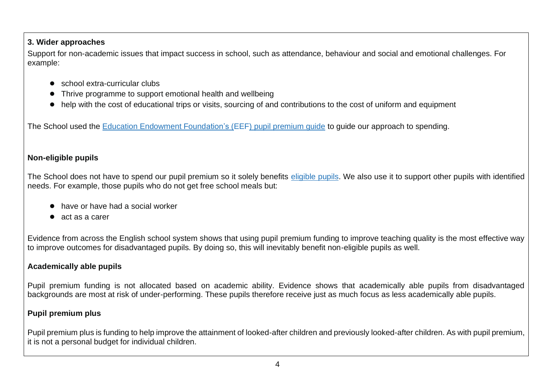#### **3. Wider approaches**

Support for non-academic issues that impact success in school, such as attendance, behaviour and social and emotional challenges. For example:

- school extra-curricular clubs
- Thrive programme to support emotional health and wellbeing
- help with the cost of educational trips or visits, sourcing of and contributions to the cost of uniform and equipment

The School used the [Education Endowment Foundation's \(EEF\) pupil premium guide](https://educationendowmentfoundation.org.uk/evidence-summaries/pupil-premium-guide/) to guide our approach to spending.

#### **Non-eligible pupils**

The School does not have to spend our pupil premium so it solely benefits [eligible pupils.](https://www.gov.uk/government/publications/pupil-premium/pupil-premium#pupil-eligibility-and-funding-rates) We also use it to support other pupils with identified needs. For example, those pupils who do not get free school meals but:

- have or have had a social worker
- act as a carer

Evidence from across the English school system shows that using pupil premium funding to improve teaching quality is the most effective way to improve outcomes for disadvantaged pupils. By doing so, this will inevitably benefit non-eligible pupils as well.

#### **Academically able pupils**

Pupil premium funding is not allocated based on academic ability. Evidence shows that academically able pupils from disadvantaged backgrounds are most at risk of under-performing. These pupils therefore receive just as much focus as less academically able pupils.

#### **Pupil premium plus**

Pupil premium plus is funding to help improve the attainment of looked-after children and previously looked-after children. As with pupil premium, it is not a personal budget for individual children.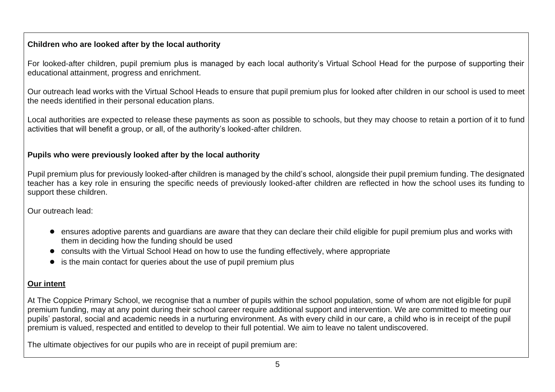#### **Children who are looked after by the local authority**

For looked-after children, pupil premium plus is managed by each local authority's Virtual School Head for the purpose of supporting their educational attainment, progress and enrichment.

Our outreach lead works with the Virtual School Heads to ensure that pupil premium plus for looked after children in our school is used to meet the needs identified in their personal education plans.

Local authorities are expected to release these payments as soon as possible to schools, but they may choose to retain a portion of it to fund activities that will benefit a group, or all, of the authority's looked-after children.

#### **Pupils who were previously looked after by the local authority**

Pupil premium plus for previously looked-after children is managed by the child's school, alongside their pupil premium funding. The designated teacher has a key role in ensuring the specific needs of previously looked-after children are reflected in how the school uses its funding to support these children.

Our outreach lead:

- ensures adoptive parents and guardians are aware that they can declare their child eligible for pupil premium plus and works with them in deciding how the funding should be used
- consults with the Virtual School Head on how to use the funding effectively, where appropriate
- is the main contact for queries about the use of pupil premium plus

#### **Our intent**

At The Coppice Primary School, we recognise that a number of pupils within the school population, some of whom are not eligible for pupil premium funding, may at any point during their school career require additional support and intervention. We are committed to meeting our pupils' pastoral, social and academic needs in a nurturing environment. As with every child in our care, a child who is in receipt of the pupil premium is valued, respected and entitled to develop to their full potential. We aim to leave no talent undiscovered.

The ultimate objectives for our pupils who are in receipt of pupil premium are: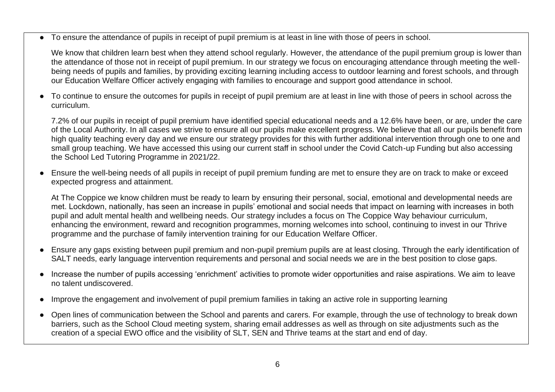To ensure the attendance of pupils in receipt of pupil premium is at least in line with those of peers in school.

We know that children learn best when they attend school regularly. However, the attendance of the pupil premium group is lower than the attendance of those not in receipt of pupil premium. In our strategy we focus on encouraging attendance through meeting the wellbeing needs of pupils and families, by providing exciting learning including access to outdoor learning and forest schools, and through our Education Welfare Officer actively engaging with families to encourage and support good attendance in school.

● To continue to ensure the outcomes for pupils in receipt of pupil premium are at least in line with those of peers in school across the curriculum.

7.2% of our pupils in receipt of pupil premium have identified special educational needs and a 12.6% have been, or are, under the care of the Local Authority. In all cases we strive to ensure all our pupils make excellent progress. We believe that all our pupils benefit from high quality teaching every day and we ensure our strategy provides for this with further additional intervention through one to one and small group teaching. We have accessed this using our current staff in school under the Covid Catch-up Funding but also accessing the School Led Tutoring Programme in 2021/22.

● Ensure the well-being needs of all pupils in receipt of pupil premium funding are met to ensure they are on track to make or exceed expected progress and attainment.

At The Coppice we know children must be ready to learn by ensuring their personal, social, emotional and developmental needs are met. Lockdown, nationally, has seen an increase in pupils' emotional and social needs that impact on learning with increases in both pupil and adult mental health and wellbeing needs. Our strategy includes a focus on The Coppice Way behaviour curriculum, enhancing the environment, reward and recognition programmes, morning welcomes into school, continuing to invest in our Thrive programme and the purchase of family intervention training for our Education Welfare Officer.

- Ensure any gaps existing between pupil premium and non-pupil premium pupils are at least closing. Through the early identification of SALT needs, early language intervention requirements and personal and social needs we are in the best position to close gaps.
- Increase the number of pupils accessing 'enrichment' activities to promote wider opportunities and raise aspirations. We aim to leave no talent undiscovered.
- Improve the engagement and involvement of pupil premium families in taking an active role in supporting learning
- Open lines of communication between the School and parents and carers. For example, through the use of technology to break down barriers, such as the School Cloud meeting system, sharing email addresses as well as through on site adjustments such as the creation of a special EWO office and the visibility of SLT, SEN and Thrive teams at the start and end of day.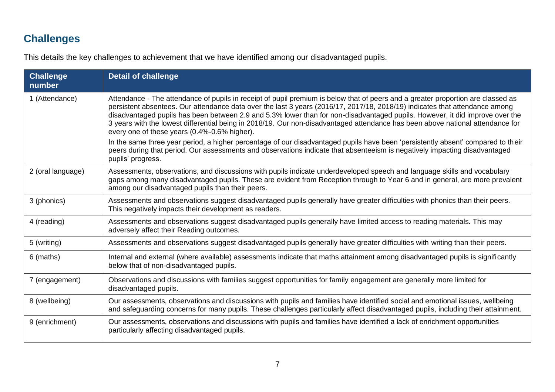# **Challenges**

This details the key challenges to achievement that we have identified among our disadvantaged pupils.

| <b>Challenge</b><br>number | <b>Detail of challenge</b>                                                                                                                                                                                                                                                                                                                                                                                                                                                                                                                                                                                                                                                                                                                                                                                                                                               |
|----------------------------|--------------------------------------------------------------------------------------------------------------------------------------------------------------------------------------------------------------------------------------------------------------------------------------------------------------------------------------------------------------------------------------------------------------------------------------------------------------------------------------------------------------------------------------------------------------------------------------------------------------------------------------------------------------------------------------------------------------------------------------------------------------------------------------------------------------------------------------------------------------------------|
| 1 (Attendance)             | Attendance - The attendance of pupils in receipt of pupil premium is below that of peers and a greater proportion are classed as<br>persistent absentees. Our attendance data over the last 3 years (2016/17, 2017/18, 2018/19) indicates that attendance among<br>disadvantaged pupils has been between 2.9 and 5.3% lower than for non-disadvantaged pupils. However, it did improve over the<br>3 years with the lowest differential being in 2018/19. Our non-disadvantaged attendance has been above national attendance for<br>every one of these years (0.4%-0.6% higher).<br>In the same three year period, a higher percentage of our disadvantaged pupils have been 'persistently absent' compared to their<br>peers during that period. Our assessments and observations indicate that absenteeism is negatively impacting disadvantaged<br>pupils' progress. |
| 2 (oral language)          | Assessments, observations, and discussions with pupils indicate underdeveloped speech and language skills and vocabulary<br>gaps among many disadvantaged pupils. These are evident from Reception through to Year 6 and in general, are more prevalent<br>among our disadvantaged pupils than their peers.                                                                                                                                                                                                                                                                                                                                                                                                                                                                                                                                                              |
| 3 (phonics)                | Assessments and observations suggest disadvantaged pupils generally have greater difficulties with phonics than their peers.<br>This negatively impacts their development as readers.                                                                                                                                                                                                                                                                                                                                                                                                                                                                                                                                                                                                                                                                                    |
| 4 (reading)                | Assessments and observations suggest disadvantaged pupils generally have limited access to reading materials. This may<br>adversely affect their Reading outcomes.                                                                                                                                                                                                                                                                                                                                                                                                                                                                                                                                                                                                                                                                                                       |
| 5 (writing)                | Assessments and observations suggest disadvantaged pupils generally have greater difficulties with writing than their peers.                                                                                                                                                                                                                                                                                                                                                                                                                                                                                                                                                                                                                                                                                                                                             |
| 6 (maths)                  | Internal and external (where available) assessments indicate that maths attainment among disadvantaged pupils is significantly<br>below that of non-disadvantaged pupils.                                                                                                                                                                                                                                                                                                                                                                                                                                                                                                                                                                                                                                                                                                |
| 7 (engagement)             | Observations and discussions with families suggest opportunities for family engagement are generally more limited for<br>disadvantaged pupils.                                                                                                                                                                                                                                                                                                                                                                                                                                                                                                                                                                                                                                                                                                                           |
| 8 (wellbeing)              | Our assessments, observations and discussions with pupils and families have identified social and emotional issues, wellbeing<br>and safeguarding concerns for many pupils. These challenges particularly affect disadvantaged pupils, including their attainment.                                                                                                                                                                                                                                                                                                                                                                                                                                                                                                                                                                                                       |
| 9 (enrichment)             | Our assessments, observations and discussions with pupils and families have identified a lack of enrichment opportunities<br>particularly affecting disadvantaged pupils.                                                                                                                                                                                                                                                                                                                                                                                                                                                                                                                                                                                                                                                                                                |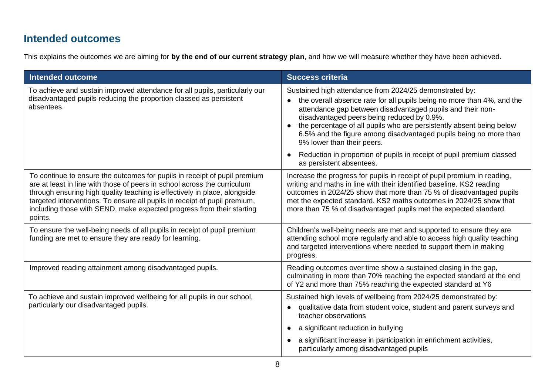## **Intended outcomes**

This explains the outcomes we are aiming for **by the end of our current strategy plan**, and how we will measure whether they have been achieved.

| <b>Intended outcome</b>                                                                                                                                                                                                                                                                                                                                                                             | <b>Success criteria</b>                                                                                                                                                                                                                                                                                                                                                                                                  |
|-----------------------------------------------------------------------------------------------------------------------------------------------------------------------------------------------------------------------------------------------------------------------------------------------------------------------------------------------------------------------------------------------------|--------------------------------------------------------------------------------------------------------------------------------------------------------------------------------------------------------------------------------------------------------------------------------------------------------------------------------------------------------------------------------------------------------------------------|
| To achieve and sustain improved attendance for all pupils, particularly our<br>disadvantaged pupils reducing the proportion classed as persistent<br>absentees.                                                                                                                                                                                                                                     | Sustained high attendance from 2024/25 demonstrated by:<br>the overall absence rate for all pupils being no more than 4%, and the<br>attendance gap between disadvantaged pupils and their non-<br>disadvantaged peers being reduced by 0.9%.<br>the percentage of all pupils who are persistently absent being below<br>6.5% and the figure among disadvantaged pupils being no more than<br>9% lower than their peers. |
|                                                                                                                                                                                                                                                                                                                                                                                                     | Reduction in proportion of pupils in receipt of pupil premium classed<br>as persistent absentees.                                                                                                                                                                                                                                                                                                                        |
| To continue to ensure the outcomes for pupils in receipt of pupil premium<br>are at least in line with those of peers in school across the curriculum<br>through ensuring high quality teaching is effectively in place, alongside<br>targeted interventions. To ensure all pupils in receipt of pupil premium,<br>including those with SEND, make expected progress from their starting<br>points. | Increase the progress for pupils in receipt of pupil premium in reading,<br>writing and maths in line with their identified baseline. KS2 reading<br>outcomes in 2024/25 show that more than 75 % of disadvantaged pupils<br>met the expected standard. KS2 maths outcomes in 2024/25 show that<br>more than 75 % of disadvantaged pupils met the expected standard.                                                     |
| To ensure the well-being needs of all pupils in receipt of pupil premium<br>funding are met to ensure they are ready for learning.                                                                                                                                                                                                                                                                  | Children's well-being needs are met and supported to ensure they are<br>attending school more regularly and able to access high quality teaching<br>and targeted interventions where needed to support them in making<br>progress.                                                                                                                                                                                       |
| Improved reading attainment among disadvantaged pupils.                                                                                                                                                                                                                                                                                                                                             | Reading outcomes over time show a sustained closing in the gap,<br>culminating in more than 70% reaching the expected standard at the end<br>of Y2 and more than 75% reaching the expected standard at Y6                                                                                                                                                                                                                |
| To achieve and sustain improved wellbeing for all pupils in our school,<br>particularly our disadvantaged pupils.                                                                                                                                                                                                                                                                                   | Sustained high levels of wellbeing from 2024/25 demonstrated by:<br>qualitative data from student voice, student and parent surveys and<br>teacher observations                                                                                                                                                                                                                                                          |
|                                                                                                                                                                                                                                                                                                                                                                                                     | a significant reduction in bullying                                                                                                                                                                                                                                                                                                                                                                                      |
|                                                                                                                                                                                                                                                                                                                                                                                                     | a significant increase in participation in enrichment activities,<br>particularly among disadvantaged pupils                                                                                                                                                                                                                                                                                                             |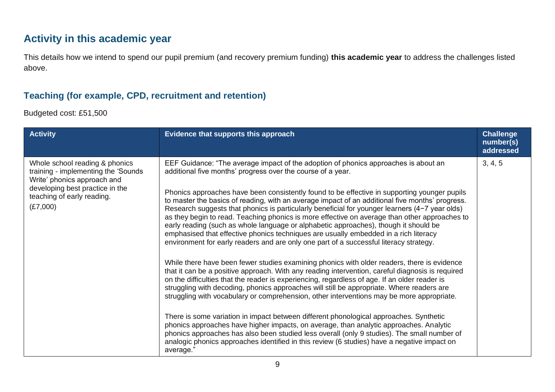## **Activity in this academic year**

This details how we intend to spend our pupil premium (and recovery premium funding) **this academic year** to address the challenges listed above.

### **Teaching (for example, CPD, recruitment and retention)**

Budgeted cost: £51,500

| <b>Activity</b>                                                                                                                                                                    | Evidence that supports this approach                                                                                                                                                                                                                                                                                                                                                                                                                                                                                                                                                                                                                                                                                                                                                                                                                                                                                                                                                                                                                                                                                                                                                                                                                                                                                                                                                                                                                                                                                                                                                                                                                                                                                            | <b>Challenge</b><br>number(s)<br>addressed |
|------------------------------------------------------------------------------------------------------------------------------------------------------------------------------------|---------------------------------------------------------------------------------------------------------------------------------------------------------------------------------------------------------------------------------------------------------------------------------------------------------------------------------------------------------------------------------------------------------------------------------------------------------------------------------------------------------------------------------------------------------------------------------------------------------------------------------------------------------------------------------------------------------------------------------------------------------------------------------------------------------------------------------------------------------------------------------------------------------------------------------------------------------------------------------------------------------------------------------------------------------------------------------------------------------------------------------------------------------------------------------------------------------------------------------------------------------------------------------------------------------------------------------------------------------------------------------------------------------------------------------------------------------------------------------------------------------------------------------------------------------------------------------------------------------------------------------------------------------------------------------------------------------------------------------|--------------------------------------------|
| Whole school reading & phonics<br>training - implementing the 'Sounds'<br>Write' phonics approach and<br>developing best practice in the<br>teaching of early reading.<br>(E7,000) | EEF Guidance: "The average impact of the adoption of phonics approaches is about an<br>additional five months' progress over the course of a year.<br>Phonics approaches have been consistently found to be effective in supporting younger pupils<br>to master the basics of reading, with an average impact of an additional five months' progress.<br>Research suggests that phonics is particularly beneficial for younger learners (4-7 year olds)<br>as they begin to read. Teaching phonics is more effective on average than other approaches to<br>early reading (such as whole language or alphabetic approaches), though it should be<br>emphasised that effective phonics techniques are usually embedded in a rich literacy<br>environment for early readers and are only one part of a successful literacy strategy.<br>While there have been fewer studies examining phonics with older readers, there is evidence<br>that it can be a positive approach. With any reading intervention, careful diagnosis is required<br>on the difficulties that the reader is experiencing, regardless of age. If an older reader is<br>struggling with decoding, phonics approaches will still be appropriate. Where readers are<br>struggling with vocabulary or comprehension, other interventions may be more appropriate.<br>There is some variation in impact between different phonological approaches. Synthetic<br>phonics approaches have higher impacts, on average, than analytic approaches. Analytic<br>phonics approaches has also been studied less overall (only 9 studies). The small number of<br>analogic phonics approaches identified in this review (6 studies) have a negative impact on<br>average." | 3, 4, 5                                    |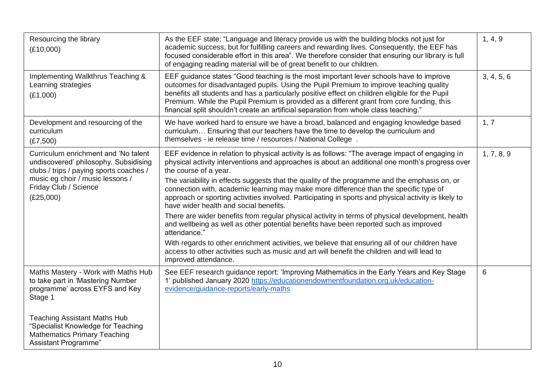| Resourcing the library<br>(E10,000)                                                                                                                                                                | As the EEF state: "Language and literacy provide us with the building blocks not just for<br>academic success, but for fulfilling careers and rewarding lives. Consequently, the EEF has<br>focused considerable effort in this area". We therefore consider that ensuring our library is full<br>of engaging reading material will be of great benefit to our children.                                                                                                                                                                                                                                                                                                                                                                                                                                                                                                                                                                                                                                      | 1, 4, 9    |
|----------------------------------------------------------------------------------------------------------------------------------------------------------------------------------------------------|---------------------------------------------------------------------------------------------------------------------------------------------------------------------------------------------------------------------------------------------------------------------------------------------------------------------------------------------------------------------------------------------------------------------------------------------------------------------------------------------------------------------------------------------------------------------------------------------------------------------------------------------------------------------------------------------------------------------------------------------------------------------------------------------------------------------------------------------------------------------------------------------------------------------------------------------------------------------------------------------------------------|------------|
| Implementing Walkthrus Teaching &<br>Learning strategies<br>(E1,000)                                                                                                                               | EEF guidance states "Good teaching is the most important lever schools have to improve<br>outcomes for disadvantaged pupils. Using the Pupil Premium to improve teaching quality<br>benefits all students and has a particularly positive effect on children eligible for the Pupil<br>Premium. While the Pupil Premium is provided as a different grant from core funding, this<br>financial split shouldn't create an artificial separation from whole class teaching."                                                                                                                                                                                                                                                                                                                                                                                                                                                                                                                                     | 3, 4, 5, 6 |
| Development and resourcing of the<br>curriculum<br>(E7,500)                                                                                                                                        | We have worked hard to ensure we have a broad, balanced and engaging knowledge based<br>curriculum Ensuring that our teachers have the time to develop the curriculum and<br>themselves - ie release time / resources / National College .                                                                                                                                                                                                                                                                                                                                                                                                                                                                                                                                                                                                                                                                                                                                                                    | 1, 7       |
| Curriculum enrichment and 'No talent<br>undiscovered' philosophy. Subsidising<br>clubs / trips / paying sports coaches /<br>music eg choir / music lessons /<br>Friday Club / Science<br>(E25,000) | EEF evidence in relation to physical activity is as follows: "The average impact of engaging in<br>physical activity interventions and approaches is about an additional one month's progress over<br>the course of a year.<br>The variability in effects suggests that the quality of the programme and the emphasis on, or<br>connection with, academic learning may make more difference than the specific type of<br>approach or sporting activities involved. Participating in sports and physical activity is likely to<br>have wider health and social benefits.<br>There are wider benefits from regular physical activity in terms of physical development, health<br>and wellbeing as well as other potential benefits have been reported such as improved<br>attendance."<br>With regards to other enrichment activities, we believe that ensuring all of our children have<br>access to other activities such as music and art will benefit the children and will lead to<br>improved attendance. | 1, 7, 8, 9 |
| Maths Mastery - Work with Maths Hub<br>to take part in 'Mastering Number<br>programme' across EYFS and Key<br>Stage 1<br><b>Teaching Assistant Maths Hub</b>                                       | See EEF research guidance report: 'Improving Mathematics in the Early Years and Key Stage<br>1' published January 2020 https://educationendowmentfoundation.org.uk/education-<br>evidence/guidance-reports/early-maths                                                                                                                                                                                                                                                                                                                                                                                                                                                                                                                                                                                                                                                                                                                                                                                        | 6          |
| "Specialist Knowledge for Teaching<br><b>Mathematics Primary Teaching</b><br>Assistant Programme"                                                                                                  |                                                                                                                                                                                                                                                                                                                                                                                                                                                                                                                                                                                                                                                                                                                                                                                                                                                                                                                                                                                                               |            |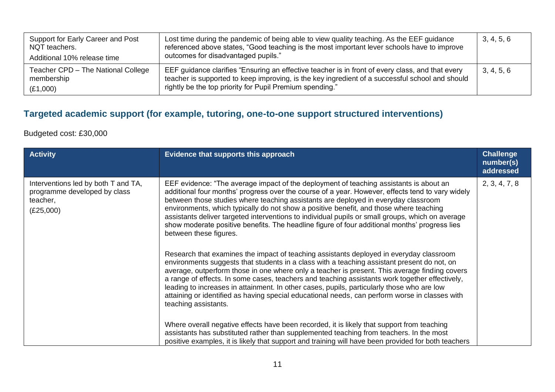| Support for Early Career and Post<br>NQT teachers.<br>Additional 10% release time | Lost time during the pandemic of being able to view quality teaching. As the EEF guidance<br>referenced above states, "Good teaching is the most important lever schools have to improve<br>outcomes for disadvantaged pupils."                                 | 3, 4, 5, 6 |
|-----------------------------------------------------------------------------------|-----------------------------------------------------------------------------------------------------------------------------------------------------------------------------------------------------------------------------------------------------------------|------------|
| Teacher CPD - The National College<br>membership<br>(E1,000)                      | EEF guidance clarifies "Ensuring an effective teacher is in front of every class, and that every<br>teacher is supported to keep improving, is the key ingredient of a successful school and should<br>rightly be the top priority for Pupil Premium spending." | 3, 4, 5, 6 |

## **Targeted academic support (for example, tutoring, one-to-one support structured interventions)**

#### Budgeted cost: £30,000

| <b>Activity</b>                                                                              | Evidence that supports this approach                                                                                                                                                                                                                                                                                                                                                                                                                                                                                                                                                                                                                                                                                                                                                                                                                                                                                                                                                                                                                                                                                                                                                                                                                                                                                                                                                                                                                                                                                           | <b>Challenge</b><br>number(s)<br>addressed |
|----------------------------------------------------------------------------------------------|--------------------------------------------------------------------------------------------------------------------------------------------------------------------------------------------------------------------------------------------------------------------------------------------------------------------------------------------------------------------------------------------------------------------------------------------------------------------------------------------------------------------------------------------------------------------------------------------------------------------------------------------------------------------------------------------------------------------------------------------------------------------------------------------------------------------------------------------------------------------------------------------------------------------------------------------------------------------------------------------------------------------------------------------------------------------------------------------------------------------------------------------------------------------------------------------------------------------------------------------------------------------------------------------------------------------------------------------------------------------------------------------------------------------------------------------------------------------------------------------------------------------------------|--------------------------------------------|
| Interventions led by both T and TA,<br>programme developed by class<br>teacher,<br>(E25,000) | EEF evidence: "The average impact of the deployment of teaching assistants is about an<br>additional four months' progress over the course of a year. However, effects tend to vary widely<br>between those studies where teaching assistants are deployed in everyday classroom<br>environments, which typically do not show a positive benefit, and those where teaching<br>assistants deliver targeted interventions to individual pupils or small groups, which on average<br>show moderate positive benefits. The headline figure of four additional months' progress lies<br>between these figures.<br>Research that examines the impact of teaching assistants deployed in everyday classroom<br>environments suggests that students in a class with a teaching assistant present do not, on<br>average, outperform those in one where only a teacher is present. This average finding covers<br>a range of effects. In some cases, teachers and teaching assistants work together effectively,<br>leading to increases in attainment. In other cases, pupils, particularly those who are low<br>attaining or identified as having special educational needs, can perform worse in classes with<br>teaching assistants.<br>Where overall negative effects have been recorded, it is likely that support from teaching<br>assistants has substituted rather than supplemented teaching from teachers. In the most<br>positive examples, it is likely that support and training will have been provided for both teachers | 2, 3, 4, 7, 8                              |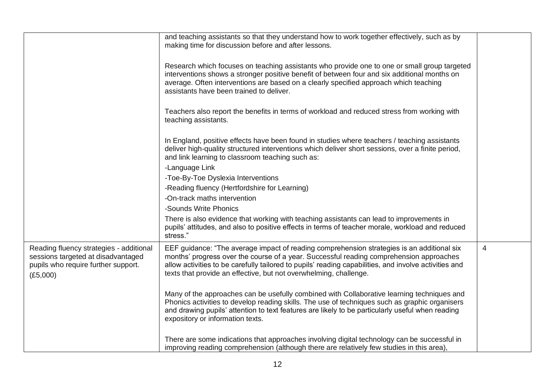|                                                                                                                                  | and teaching assistants so that they understand how to work together effectively, such as by<br>making time for discussion before and after lessons.                                                                                                                                                                                                                |   |
|----------------------------------------------------------------------------------------------------------------------------------|---------------------------------------------------------------------------------------------------------------------------------------------------------------------------------------------------------------------------------------------------------------------------------------------------------------------------------------------------------------------|---|
|                                                                                                                                  | Research which focuses on teaching assistants who provide one to one or small group targeted<br>interventions shows a stronger positive benefit of between four and six additional months on<br>average. Often interventions are based on a clearly specified approach which teaching<br>assistants have been trained to deliver.                                   |   |
|                                                                                                                                  | Teachers also report the benefits in terms of workload and reduced stress from working with<br>teaching assistants.                                                                                                                                                                                                                                                 |   |
|                                                                                                                                  | In England, positive effects have been found in studies where teachers / teaching assistants<br>deliver high-quality structured interventions which deliver short sessions, over a finite period,<br>and link learning to classroom teaching such as:                                                                                                               |   |
|                                                                                                                                  | -Language Link                                                                                                                                                                                                                                                                                                                                                      |   |
|                                                                                                                                  | -Toe-By-Toe Dyslexia Interventions                                                                                                                                                                                                                                                                                                                                  |   |
|                                                                                                                                  | -Reading fluency (Hertfordshire for Learning)                                                                                                                                                                                                                                                                                                                       |   |
|                                                                                                                                  | -On-track maths intervention                                                                                                                                                                                                                                                                                                                                        |   |
|                                                                                                                                  | -Sounds Write Phonics                                                                                                                                                                                                                                                                                                                                               |   |
|                                                                                                                                  | There is also evidence that working with teaching assistants can lead to improvements in<br>pupils' attitudes, and also to positive effects in terms of teacher morale, workload and reduced<br>stress."                                                                                                                                                            |   |
| Reading fluency strategies - additional<br>sessions targeted at disadvantaged<br>pupils who require further support.<br>(E5,000) | EEF guidance: "The average impact of reading comprehension strategies is an additional six<br>months' progress over the course of a year. Successful reading comprehension approaches<br>allow activities to be carefully tailored to pupils' reading capabilities, and involve activities and<br>texts that provide an effective, but not overwhelming, challenge. | 4 |
|                                                                                                                                  | Many of the approaches can be usefully combined with Collaborative learning techniques and<br>Phonics activities to develop reading skills. The use of techniques such as graphic organisers<br>and drawing pupils' attention to text features are likely to be particularly useful when reading<br>expository or information texts.                                |   |
|                                                                                                                                  | There are some indications that approaches involving digital technology can be successful in<br>improving reading comprehension (although there are relatively few studies in this area),                                                                                                                                                                           |   |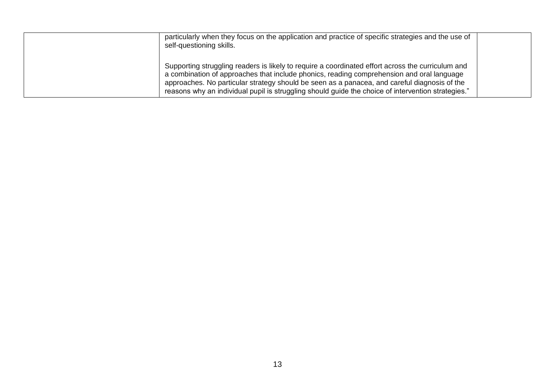| particularly when they focus on the application and practice of specific strategies and the use of<br>self-questioning skills.                                                                                                                                                                                                                                                                       |  |
|------------------------------------------------------------------------------------------------------------------------------------------------------------------------------------------------------------------------------------------------------------------------------------------------------------------------------------------------------------------------------------------------------|--|
| Supporting struggling readers is likely to require a coordinated effort across the curriculum and<br>a combination of approaches that include phonics, reading comprehension and oral language<br>approaches. No particular strategy should be seen as a panacea, and careful diagnosis of the<br>reasons why an individual pupil is struggling should guide the choice of intervention strategies." |  |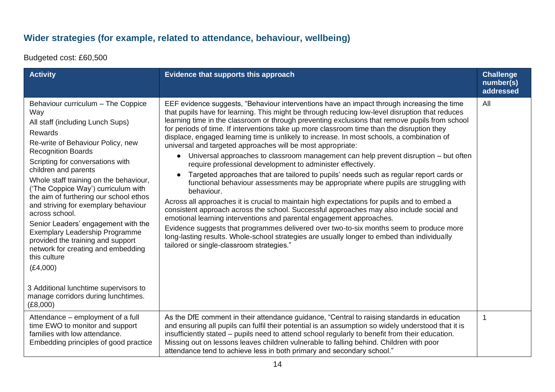## **Wider strategies (for example, related to attendance, behaviour, wellbeing)**

Budgeted cost: £60,500

| <b>Activity</b>                                                                                                                                                                                                                                                                                                                                                                                                                                                                                                                                                                                                                                                                           | Evidence that supports this approach                                                                                                                                                                                                                                                                                                                                                                                                                                                                                                                                                                                                                                                                                                                                                                                                                                                                                                                                                                                                                                                                                                                                                                                                                                                                                                                                                                                                                  | <b>Challenge</b><br>number(s)<br>addressed |
|-------------------------------------------------------------------------------------------------------------------------------------------------------------------------------------------------------------------------------------------------------------------------------------------------------------------------------------------------------------------------------------------------------------------------------------------------------------------------------------------------------------------------------------------------------------------------------------------------------------------------------------------------------------------------------------------|-------------------------------------------------------------------------------------------------------------------------------------------------------------------------------------------------------------------------------------------------------------------------------------------------------------------------------------------------------------------------------------------------------------------------------------------------------------------------------------------------------------------------------------------------------------------------------------------------------------------------------------------------------------------------------------------------------------------------------------------------------------------------------------------------------------------------------------------------------------------------------------------------------------------------------------------------------------------------------------------------------------------------------------------------------------------------------------------------------------------------------------------------------------------------------------------------------------------------------------------------------------------------------------------------------------------------------------------------------------------------------------------------------------------------------------------------------|--------------------------------------------|
| Behaviour curriculum - The Coppice<br>Way<br>All staff (including Lunch Sups)<br><b>Rewards</b><br>Re-write of Behaviour Policy, new<br><b>Recognition Boards</b><br>Scripting for conversations with<br>children and parents<br>Whole staff training on the behaviour,<br>('The Coppice Way') curriculum with<br>the aim of furthering our school ethos<br>and striving for exemplary behaviour<br>across school.<br>Senior Leaders' engagement with the<br><b>Exemplary Leadership Programme</b><br>provided the training and support<br>network for creating and embedding<br>this culture<br>(E4,000)<br>3 Additional lunchtime supervisors to<br>manage corridors during lunchtimes. | EEF evidence suggests, "Behaviour interventions have an impact through increasing the time<br>that pupils have for learning. This might be through reducing low-level disruption that reduces<br>learning time in the classroom or through preventing exclusions that remove pupils from school<br>for periods of time. If interventions take up more classroom time than the disruption they<br>displace, engaged learning time is unlikely to increase. In most schools, a combination of<br>universal and targeted approaches will be most appropriate:<br>Universal approaches to classroom management can help prevent disruption - but often<br>$\bullet$<br>require professional development to administer effectively.<br>Targeted approaches that are tailored to pupils' needs such as regular report cards or<br>$\bullet$<br>functional behaviour assessments may be appropriate where pupils are struggling with<br>behaviour.<br>Across all approaches it is crucial to maintain high expectations for pupils and to embed a<br>consistent approach across the school. Successful approaches may also include social and<br>emotional learning interventions and parental engagement approaches.<br>Evidence suggests that programmes delivered over two-to-six months seem to produce more<br>long-lasting results. Whole-school strategies are usually longer to embed than individually<br>tailored or single-classroom strategies." | All                                        |
| (E8,000)<br>Attendance – employment of a full                                                                                                                                                                                                                                                                                                                                                                                                                                                                                                                                                                                                                                             | As the DfE comment in their attendance guidance, "Central to raising standards in education                                                                                                                                                                                                                                                                                                                                                                                                                                                                                                                                                                                                                                                                                                                                                                                                                                                                                                                                                                                                                                                                                                                                                                                                                                                                                                                                                           | 1                                          |
| time EWO to monitor and support<br>families with low attendance.<br>Embedding principles of good practice                                                                                                                                                                                                                                                                                                                                                                                                                                                                                                                                                                                 | and ensuring all pupils can fulfil their potential is an assumption so widely understood that it is<br>insufficiently stated – pupils need to attend school regularly to benefit from their education.<br>Missing out on lessons leaves children vulnerable to falling behind. Children with poor<br>attendance tend to achieve less in both primary and secondary school."                                                                                                                                                                                                                                                                                                                                                                                                                                                                                                                                                                                                                                                                                                                                                                                                                                                                                                                                                                                                                                                                           |                                            |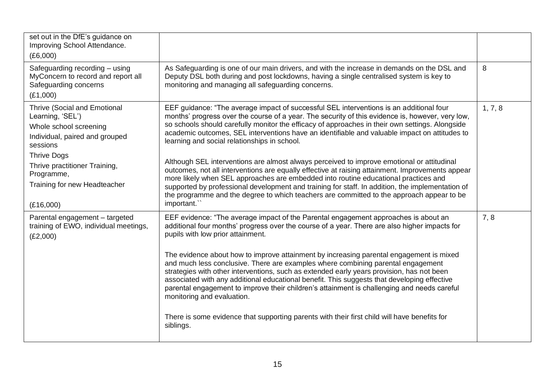| set out in the DfE's guidance on<br>Improving School Attendance.<br>(E6,000)                                                                                                                                                  |                                                                                                                                                                                                                                                                                                                                                                                                                                                                                                                                                                                                                                                                                                                                                                                                                                                                                                                                                          |         |
|-------------------------------------------------------------------------------------------------------------------------------------------------------------------------------------------------------------------------------|----------------------------------------------------------------------------------------------------------------------------------------------------------------------------------------------------------------------------------------------------------------------------------------------------------------------------------------------------------------------------------------------------------------------------------------------------------------------------------------------------------------------------------------------------------------------------------------------------------------------------------------------------------------------------------------------------------------------------------------------------------------------------------------------------------------------------------------------------------------------------------------------------------------------------------------------------------|---------|
| Safeguarding recording - using<br>MyConcern to record and report all<br>Safeguarding concerns<br>(E1,000)                                                                                                                     | As Safeguarding is one of our main drivers, and with the increase in demands on the DSL and<br>Deputy DSL both during and post lockdowns, having a single centralised system is key to<br>monitoring and managing all safeguarding concerns.                                                                                                                                                                                                                                                                                                                                                                                                                                                                                                                                                                                                                                                                                                             | 8       |
| Thrive (Social and Emotional<br>Learning, 'SEL')<br>Whole school screening<br>Individual, paired and grouped<br>sessions<br><b>Thrive Dogs</b><br>Thrive practitioner Training,<br>Programme,<br>Training for new Headteacher | EEF guidance: "The average impact of successful SEL interventions is an additional four<br>months' progress over the course of a year. The security of this evidence is, however, very low,<br>so schools should carefully monitor the efficacy of approaches in their own settings. Alongside<br>academic outcomes, SEL interventions have an identifiable and valuable impact on attitudes to<br>learning and social relationships in school.<br>Although SEL interventions are almost always perceived to improve emotional or attitudinal<br>outcomes, not all interventions are equally effective at raising attainment. Improvements appear<br>more likely when SEL approaches are embedded into routine educational practices and<br>supported by professional development and training for staff. In addition, the implementation of<br>the programme and the degree to which teachers are committed to the approach appear to be<br>important." | 1, 7, 8 |
| (E16,000)<br>Parental engagement - targeted<br>training of EWO, individual meetings,<br>(E2,000)                                                                                                                              | EEF evidence: "The average impact of the Parental engagement approaches is about an<br>additional four months' progress over the course of a year. There are also higher impacts for<br>pupils with low prior attainment.<br>The evidence about how to improve attainment by increasing parental engagement is mixed<br>and much less conclusive. There are examples where combining parental engagement<br>strategies with other interventions, such as extended early years provision, has not been<br>associated with any additional educational benefit. This suggests that developing effective<br>parental engagement to improve their children's attainment is challenging and needs careful<br>monitoring and evaluation.<br>There is some evidence that supporting parents with their first child will have benefits for<br>siblings.                                                                                                           | 7, 8    |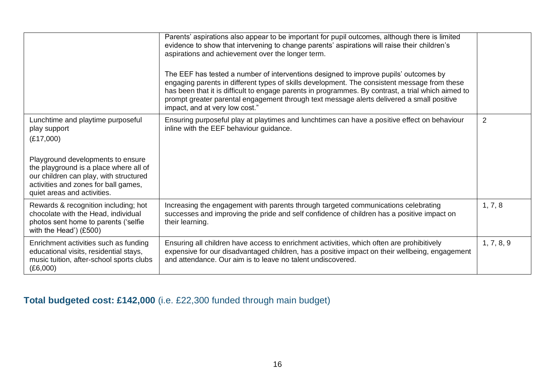|                                                                                                                                                                                                                                                                | Parents' aspirations also appear to be important for pupil outcomes, although there is limited<br>evidence to show that intervening to change parents' aspirations will raise their children's<br>aspirations and achievement over the longer term.<br>The EEF has tested a number of interventions designed to improve pupils' outcomes by<br>engaging parents in different types of skills development. The consistent message from these<br>has been that it is difficult to engage parents in programmes. By contrast, a trial which aimed to<br>prompt greater parental engagement through text message alerts delivered a small positive<br>impact, and at very low cost." |                |
|----------------------------------------------------------------------------------------------------------------------------------------------------------------------------------------------------------------------------------------------------------------|----------------------------------------------------------------------------------------------------------------------------------------------------------------------------------------------------------------------------------------------------------------------------------------------------------------------------------------------------------------------------------------------------------------------------------------------------------------------------------------------------------------------------------------------------------------------------------------------------------------------------------------------------------------------------------|----------------|
| Lunchtime and playtime purposeful<br>play support<br>(E17,000)<br>Playground developments to ensure<br>the playground is a place where all of<br>our children can play, with structured<br>activities and zones for ball games,<br>quiet areas and activities. | Ensuring purposeful play at playtimes and lunchtimes can have a positive effect on behaviour<br>inline with the EEF behaviour guidance.                                                                                                                                                                                                                                                                                                                                                                                                                                                                                                                                          | $\overline{2}$ |
| Rewards & recognition including; hot<br>chocolate with the Head, individual<br>photos sent home to parents ('selfie<br>with the Head') $(E500)$                                                                                                                | Increasing the engagement with parents through targeted communications celebrating<br>successes and improving the pride and self confidence of children has a positive impact on<br>their learning.                                                                                                                                                                                                                                                                                                                                                                                                                                                                              | 1, 7, 8        |
| Enrichment activities such as funding<br>educational visits, residential stays,<br>music tuition, after-school sports clubs<br>(E6,000)                                                                                                                        | Ensuring all children have access to enrichment activities, which often are prohibitively<br>expensive for our disadvantaged children, has a positive impact on their wellbeing, engagement<br>and attendance. Our aim is to leave no talent undiscovered.                                                                                                                                                                                                                                                                                                                                                                                                                       | 1, 7, 8, 9     |

**Total budgeted cost: £142,000** (i.e. £22,300 funded through main budget)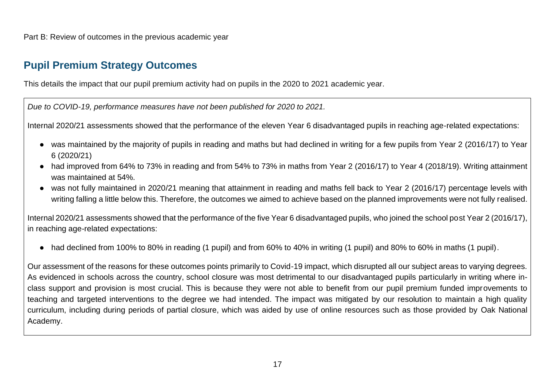Part B: Review of outcomes in the previous academic year

### **Pupil Premium Strategy Outcomes**

This details the impact that our pupil premium activity had on pupils in the 2020 to 2021 academic year.

*Due to COVID-19, performance measures have not been published for 2020 to 2021.*

Internal 2020/21 assessments showed that the performance of the eleven Year 6 disadvantaged pupils in reaching age-related expectations:

- was maintained by the majority of pupils in reading and maths but had declined in writing for a few pupils from Year 2 (2016/17) to Year 6 (2020/21)
- had improved from 64% to 73% in reading and from 54% to 73% in maths from Year 2 (2016/17) to Year 4 (2018/19). Writing attainment was maintained at 54%.
- was not fully maintained in 2020/21 meaning that attainment in reading and maths fell back to Year 2 (2016/17) percentage levels with writing falling a little below this. Therefore, the outcomes we aimed to achieve based on the planned improvements were not fully realised.

Internal 2020/21 assessments showed that the performance of the five Year 6 disadvantaged pupils, who joined the school post Year 2 (2016/17), in reaching age-related expectations:

● had declined from 100% to 80% in reading (1 pupil) and from 60% to 40% in writing (1 pupil) and 80% to 60% in maths (1 pupil).

Our assessment of the reasons for these outcomes points primarily to Covid-19 impact, which disrupted all our subject areas to varying degrees. As evidenced in schools across the country, school closure was most detrimental to our disadvantaged pupils particularly in writing where inclass support and provision is most crucial. This is because they were not able to benefit from our pupil premium funded improvements to teaching and targeted interventions to the degree we had intended. The impact was mitigated by our resolution to maintain a high quality curriculum, including during periods of partial closure, which was aided by use of online resources such as those provided by Oak National Academy.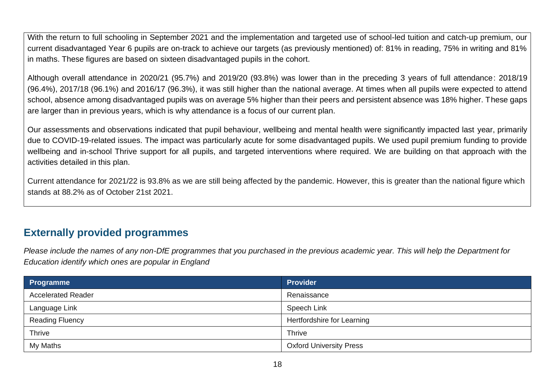With the return to full schooling in September 2021 and the implementation and targeted use of school-led tuition and catch-up premium, our current disadvantaged Year 6 pupils are on-track to achieve our targets (as previously mentioned) of: 81% in reading, 75% in writing and 81% in maths. These figures are based on sixteen disadvantaged pupils in the cohort.

Although overall attendance in 2020/21 (95.7%) and 2019/20 (93.8%) was lower than in the preceding 3 years of full attendance: 2018/19 (96.4%), 2017/18 (96.1%) and 2016/17 (96.3%), it was still higher than the national average. At times when all pupils were expected to attend school, absence among disadvantaged pupils was on average 5% higher than their peers and persistent absence was 18% higher. These gaps are larger than in previous years, which is why attendance is a focus of our current plan.

Our assessments and observations indicated that pupil behaviour, wellbeing and mental health were significantly impacted last year, primarily due to COVID-19-related issues. The impact was particularly acute for some disadvantaged pupils. We used pupil premium funding to provide wellbeing and in-school Thrive support for all pupils, and targeted interventions where required. We are building on that approach with the activities detailed in this plan.

Current attendance for 2021/22 is 93.8% as we are still being affected by the pandemic. However, this is greater than the national figure which stands at 88.2% as of October 21st 2021.

### **Externally provided programmes**

*Please include the names of any non-DfE programmes that you purchased in the previous academic year. This will help the Department for Education identify which ones are popular in England*

| Programme                 | <b>Provider</b>                |
|---------------------------|--------------------------------|
| <b>Accelerated Reader</b> | Renaissance                    |
| Language Link             | Speech Link                    |
| <b>Reading Fluency</b>    | Hertfordshire for Learning     |
| Thrive                    | <b>Thrive</b>                  |
| My Maths                  | <b>Oxford University Press</b> |